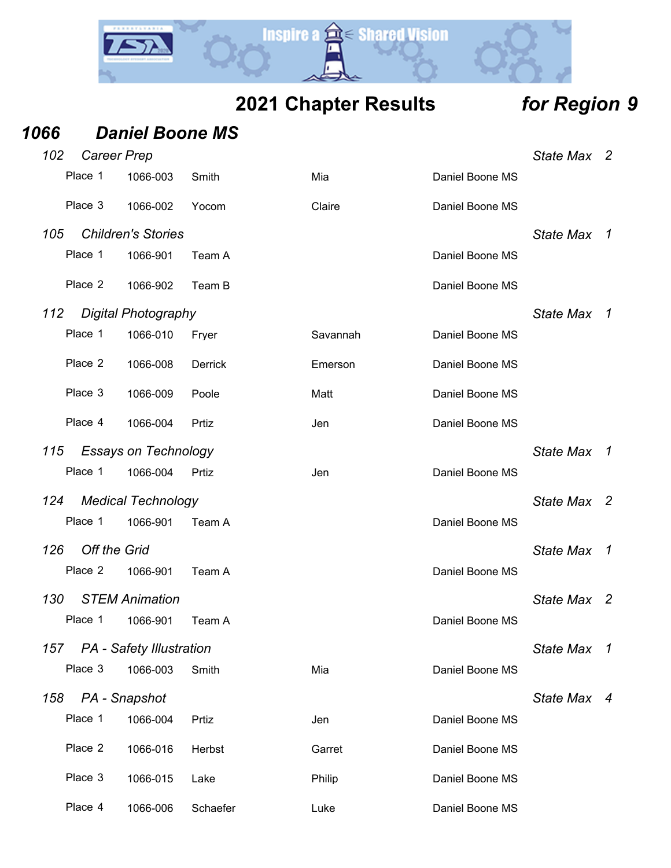

| 1066                       | <b>Daniel Boone MS</b>          |          |          |                 |                  |                            |
|----------------------------|---------------------------------|----------|----------|-----------------|------------------|----------------------------|
| 102                        | <b>Career Prep</b>              |          |          |                 | State Max 2      |                            |
| Place 1                    | 1066-003                        | Smith    | Mia      | Daniel Boone MS |                  |                            |
| Place 3                    | 1066-002                        | Yocom    | Claire   | Daniel Boone MS |                  |                            |
| 105                        | <b>Children's Stories</b>       |          |          |                 | <b>State Max</b> | $\overline{1}$             |
| Place 1                    | 1066-901                        | Team A   |          | Daniel Boone MS |                  |                            |
| Place 2                    | 1066-902                        | Team B   |          | Daniel Boone MS |                  |                            |
| 112                        | <b>Digital Photography</b>      |          |          |                 | <b>State Max</b> | $\overline{1}$             |
| Place 1                    | 1066-010                        | Fryer    | Savannah | Daniel Boone MS |                  |                            |
| Place 2                    | 1066-008                        | Derrick  | Emerson  | Daniel Boone MS |                  |                            |
| Place 3                    | 1066-009                        | Poole    | Matt     | Daniel Boone MS |                  |                            |
| Place 4                    | 1066-004                        | Prtiz    | Jen      | Daniel Boone MS |                  |                            |
| 115                        | <b>Essays on Technology</b>     |          |          |                 | <b>State Max</b> | $\overline{1}$             |
| Place 1                    | 1066-004                        | Prtiz    | Jen      | Daniel Boone MS |                  |                            |
| 124                        | <b>Medical Technology</b>       |          |          |                 | <b>State Max</b> | $\overline{\phantom{0}}^2$ |
| Place 1                    | 1066-901                        | Team A   |          | Daniel Boone MS |                  |                            |
| 126<br><b>Off the Grid</b> |                                 |          |          |                 | <b>State Max</b> | $\overline{1}$             |
| Place 2                    | 1066-901                        | Team A   |          | Daniel Boone MS |                  |                            |
| 130                        | <b>STEM Animation</b>           |          |          |                 | State Max        | $\overline{\phantom{a}}^2$ |
| Place 1                    | 1066-901                        | Team A   |          | Daniel Boone MS |                  |                            |
| 157                        | <b>PA</b> - Safety Illustration |          |          |                 | <b>State Max</b> | $\overline{1}$             |
| Place 3                    | 1066-003                        | Smith    | Mia      | Daniel Boone MS |                  |                            |
| 158                        | PA - Snapshot                   |          |          |                 | State Max 4      |                            |
| Place 1                    | 1066-004                        | Prtiz    | Jen      | Daniel Boone MS |                  |                            |
| Place 2                    | 1066-016                        | Herbst   | Garret   | Daniel Boone MS |                  |                            |
| Place 3                    | 1066-015                        | Lake     | Philip   | Daniel Boone MS |                  |                            |
| Place 4                    | 1066-006                        | Schaefer | Luke     | Daniel Boone MS |                  |                            |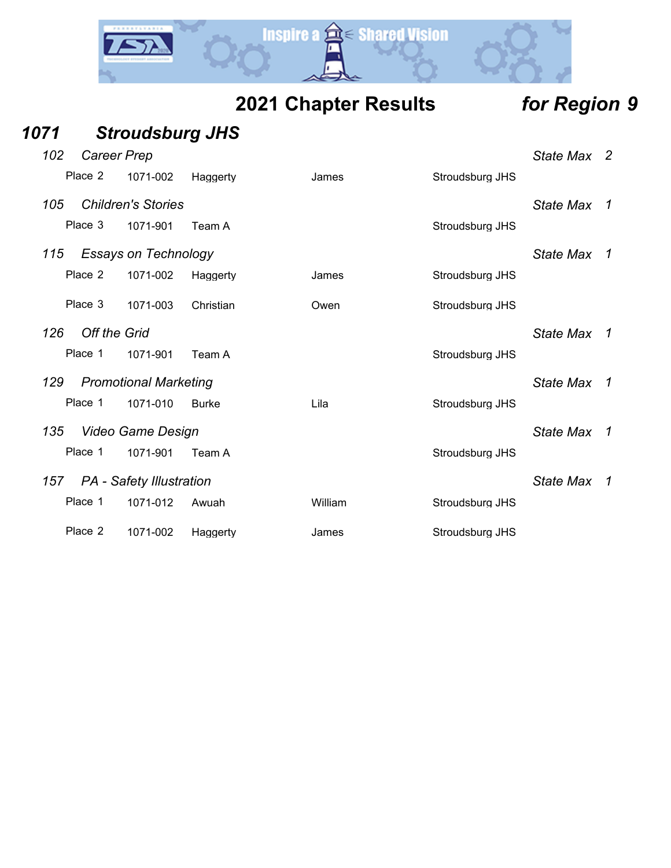

| 1071 |                     | <b>Stroudsburg JHS</b>          |              |         |                 |                  |                |
|------|---------------------|---------------------------------|--------------|---------|-----------------|------------------|----------------|
| 102  | <b>Career Prep</b>  |                                 |              |         |                 | State Max 2      |                |
|      | Place 2             | 1071-002                        | Haggerty     | James   | Stroudsburg JHS |                  |                |
| 105  |                     | <b>Children's Stories</b>       |              |         |                 | <b>State Max</b> | $\overline{1}$ |
|      | Place 3             | 1071-901                        | Team A       |         | Stroudsburg JHS |                  |                |
| 115  |                     | <b>Essays on Technology</b>     |              |         |                 | <b>State Max</b> | $\overline{1}$ |
|      | Place 2             | 1071-002                        | Haggerty     | James   | Stroudsburg JHS |                  |                |
|      | Place 3             | 1071-003                        | Christian    | Owen    | Stroudsburg JHS |                  |                |
| 126  | <b>Off the Grid</b> |                                 |              |         |                 | <b>State Max</b> | $\overline{1}$ |
|      | Place 1             | 1071-901                        | Team A       |         | Stroudsburg JHS |                  |                |
| 129  |                     | <b>Promotional Marketing</b>    |              |         |                 | <b>State Max</b> | $\overline{1}$ |
|      | Place 1             | 1071-010                        | <b>Burke</b> | Lila    | Stroudsburg JHS |                  |                |
| 135  |                     | <b>Video Game Design</b>        |              |         |                 | <b>State Max</b> | $\overline{1}$ |
|      | Place 1             | 1071-901                        | Team A       |         | Stroudsburg JHS |                  |                |
| 157  |                     | <b>PA</b> - Safety Illustration |              |         |                 | <b>State Max</b> | $\overline{1}$ |
|      | Place 1             | 1071-012                        | Awuah        | William | Stroudsburg JHS |                  |                |
|      | Place 2             | 1071-002                        | Haggerty     | James   | Stroudsburg JHS |                  |                |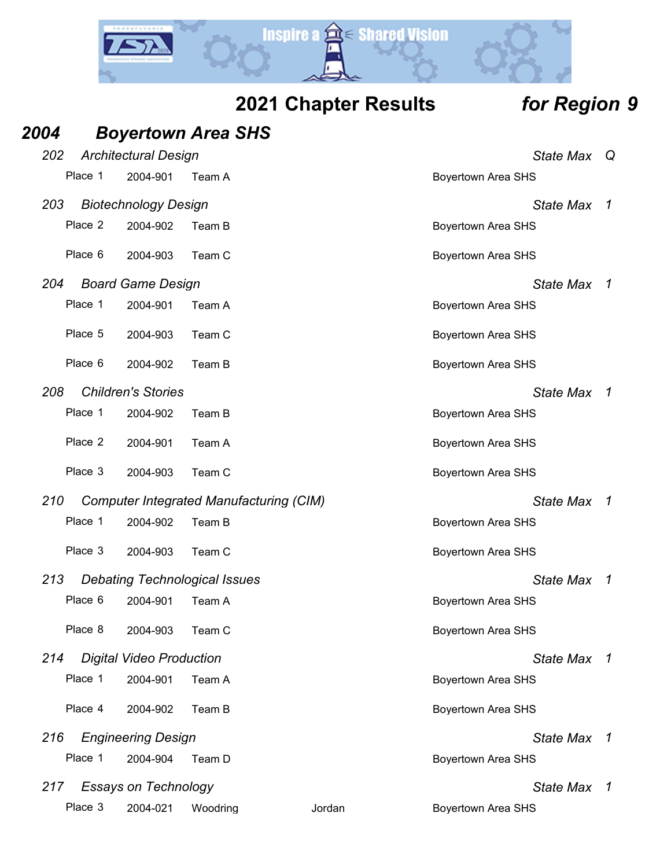

|  | 2021 Chapter Results |  |
|--|----------------------|--|
|--|----------------------|--|

# *Region* **9**

| 2004    |         |                                 | <b>Boyertown Area SHS</b>                      |        |                           |                |
|---------|---------|---------------------------------|------------------------------------------------|--------|---------------------------|----------------|
| 202     |         | <b>Architectural Design</b>     |                                                |        | <b>State Max</b>          | Q              |
| Place 1 |         | 2004-901                        | Team A                                         |        | <b>Boyertown Area SHS</b> |                |
| 203     |         | <b>Biotechnology Design</b>     |                                                |        | State Max                 | $\mathcal I$   |
| Place 2 |         | 2004-902                        | Team B                                         |        | <b>Boyertown Area SHS</b> |                |
| Place 6 |         | 2004-903                        | Team C                                         |        | <b>Boyertown Area SHS</b> |                |
| 204     |         | <b>Board Game Design</b>        |                                                |        | <b>State Max</b>          | $\overline{1}$ |
| Place 1 |         | 2004-901                        | Team A                                         |        | <b>Boyertown Area SHS</b> |                |
| Place 5 |         | 2004-903                        | Team C                                         |        | <b>Boyertown Area SHS</b> |                |
| Place 6 |         | 2004-902                        | Team B                                         |        | <b>Boyertown Area SHS</b> |                |
| 208     |         | <b>Children's Stories</b>       |                                                |        | <b>State Max</b>          | $\overline{1}$ |
| Place 1 |         | 2004-902                        | Team B                                         |        | <b>Boyertown Area SHS</b> |                |
| Place 2 |         | 2004-901                        | Team A                                         |        | <b>Boyertown Area SHS</b> |                |
| Place 3 |         | 2004-903                        | Team C                                         |        | <b>Boyertown Area SHS</b> |                |
| 210     |         |                                 | <b>Computer Integrated Manufacturing (CIM)</b> |        | State Max                 | $\overline{1}$ |
| Place 1 |         | 2004-902                        | Team B                                         |        | <b>Boyertown Area SHS</b> |                |
| Place 3 |         | 2004-903                        | Team C                                         |        | <b>Boyertown Area SHS</b> |                |
| 213     |         |                                 | <b>Debating Technological Issues</b>           |        | <b>State Max</b>          | $\overline{1}$ |
| Place 6 |         | 2004-901                        | Team A                                         |        | <b>Boyertown Area SHS</b> |                |
| Place 8 |         | 2004-903                        | Team C                                         |        | <b>Boyertown Area SHS</b> |                |
| 214     |         | <b>Digital Video Production</b> |                                                |        | State Max 1               |                |
| Place 1 |         | 2004-901                        | Team A                                         |        | <b>Boyertown Area SHS</b> |                |
|         | Place 4 | 2004-902                        | Team B                                         |        | <b>Boyertown Area SHS</b> |                |
| 216     |         | <b>Engineering Design</b>       |                                                |        | State Max 1               |                |
| Place 1 |         | 2004-904                        | Team D                                         |        | <b>Boyertown Area SHS</b> |                |
| 217     |         | <b>Essays on Technology</b>     |                                                |        | State Max 1               |                |
| Place 3 |         | 2004-021                        | Woodring                                       | Jordan | <b>Boyertown Area SHS</b> |                |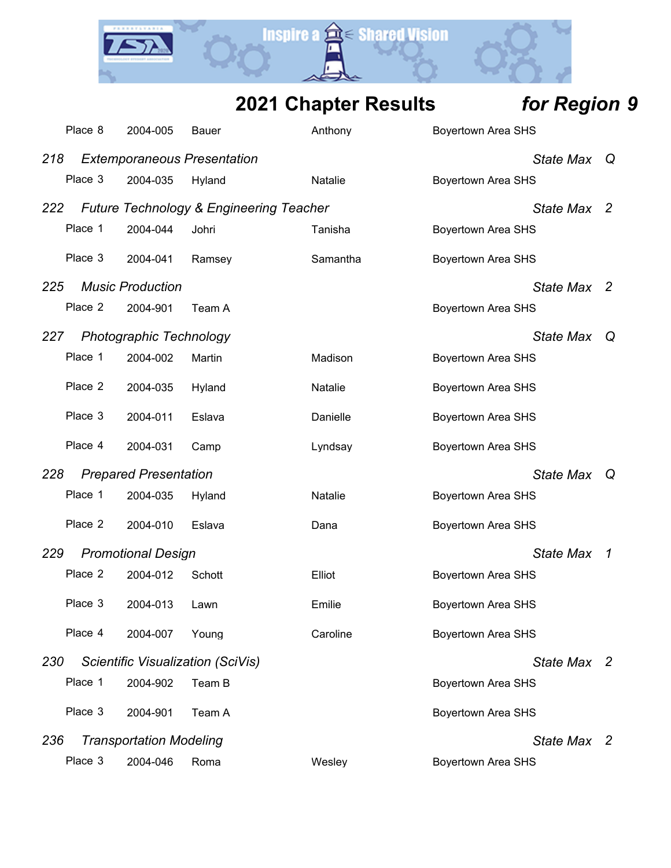

| <b>2021 Chapter Results</b> | for Region 9 |
|-----------------------------|--------------|
|-----------------------------|--------------|

|     | Place 8 | 2004-005                       | <b>Bauer</b>                                       | Anthony        | <b>Boyertown Area SHS</b> |             |                            |
|-----|---------|--------------------------------|----------------------------------------------------|----------------|---------------------------|-------------|----------------------------|
| 218 |         |                                | <b>Extemporaneous Presentation</b>                 |                | <b>State Max</b>          |             | Q                          |
|     | Place 3 | 2004-035                       | Hyland                                             | Natalie        | <b>Boyertown Area SHS</b> |             |                            |
| 222 |         |                                | <b>Future Technology &amp; Engineering Teacher</b> |                | <b>State Max</b>          |             | $\mathbf{2}$               |
|     | Place 1 | 2004-044                       | Johri                                              | Tanisha        | <b>Boyertown Area SHS</b> |             |                            |
|     | Place 3 | 2004-041                       | Ramsey                                             | Samantha       | <b>Boyertown Area SHS</b> |             |                            |
| 225 |         | <b>Music Production</b>        |                                                    |                |                           | State Max   | $\overline{\phantom{0}}^2$ |
|     | Place 2 | 2004-901                       | Team A                                             |                | <b>Boyertown Area SHS</b> |             |                            |
| 227 |         | <b>Photographic Technology</b> |                                                    |                | <b>State Max</b>          |             | Q                          |
|     | Place 1 | 2004-002                       | Martin                                             | Madison        | <b>Boyertown Area SHS</b> |             |                            |
|     | Place 2 | 2004-035                       | Hyland                                             | <b>Natalie</b> | <b>Boyertown Area SHS</b> |             |                            |
|     | Place 3 | 2004-011                       | Eslava                                             | Danielle       | <b>Boyertown Area SHS</b> |             |                            |
|     | Place 4 | 2004-031                       | Camp                                               | Lyndsay        | <b>Boyertown Area SHS</b> |             |                            |
| 228 |         | <b>Prepared Presentation</b>   |                                                    |                | <b>State Max</b>          |             | Q                          |
|     | Place 1 | 2004-035                       | Hyland                                             | <b>Natalie</b> | <b>Boyertown Area SHS</b> |             |                            |
|     | Place 2 | 2004-010                       | Eslava                                             | Dana           | <b>Boyertown Area SHS</b> |             |                            |
| 229 |         | <b>Promotional Design</b>      |                                                    |                | <b>State Max</b>          |             | 1                          |
|     | Place 2 | 2004-012                       | Schott                                             | Elliot         | Boyertown Area SHS        |             |                            |
|     | Place 3 | 2004-013                       | Lawn                                               | Emilie         | <b>Boyertown Area SHS</b> |             |                            |
|     | Place 4 | 2004-007                       | Young                                              | Caroline       | <b>Boyertown Area SHS</b> |             |                            |
| 230 |         |                                | Scientific Visualization (SciVis)                  |                |                           | State Max 2 |                            |
|     | Place 1 | 2004-902                       | Team B                                             |                | <b>Boyertown Area SHS</b> |             |                            |
|     | Place 3 | 2004-901                       | Team A                                             |                | <b>Boyertown Area SHS</b> |             |                            |
| 236 |         | <b>Transportation Modeling</b> |                                                    |                |                           | State Max 2 |                            |
|     | Place 3 | 2004-046                       | Roma                                               | Wesley         | <b>Boyertown Area SHS</b> |             |                            |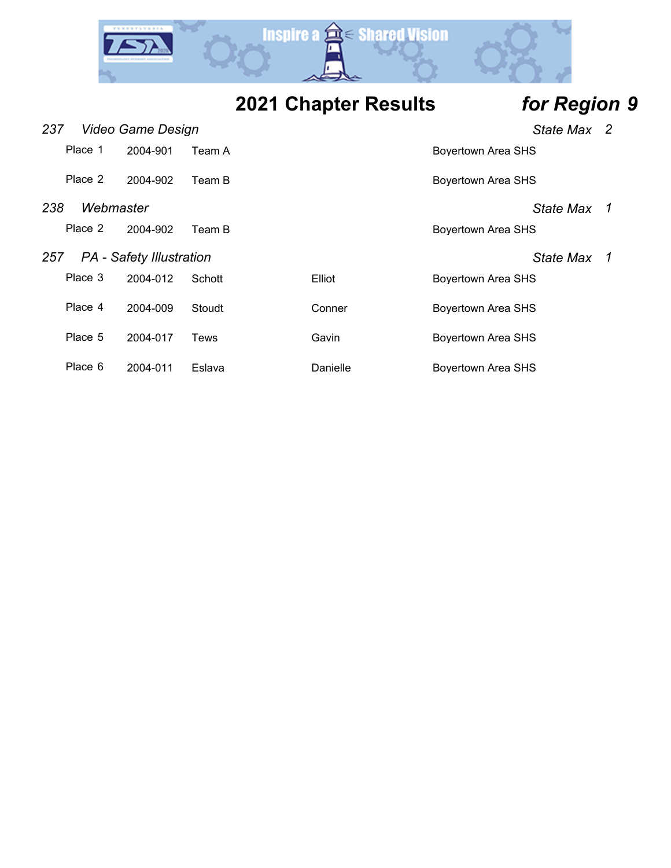

**2021 Chapter Results** *for Region 9*

| 237 |           | Video Game Design               |        |          | State Max 2               |    |
|-----|-----------|---------------------------------|--------|----------|---------------------------|----|
|     | Place 1   | 2004-901                        | Team A |          | Boyertown Area SHS        |    |
|     | Place 2   | 2004-902                        | Team B |          | <b>Boyertown Area SHS</b> |    |
| 238 | Webmaster |                                 |        |          | State Max 1               |    |
|     | Place 2   | 2004-902                        | Team B |          | <b>Boyertown Area SHS</b> |    |
| 257 |           | <b>PA</b> - Safety Illustration |        |          | <b>State Max</b>          | -1 |
|     | Place 3   | 2004-012                        | Schott | Elliot   | <b>Boyertown Area SHS</b> |    |
|     | Place 4   | 2004-009                        | Stoudt | Conner   | <b>Boyertown Area SHS</b> |    |
|     | Place 5   | 2004-017                        | Tews   | Gavin    | <b>Boyertown Area SHS</b> |    |
|     | Place 6   | 2004-011                        | Eslava | Danielle | <b>Boyertown Area SHS</b> |    |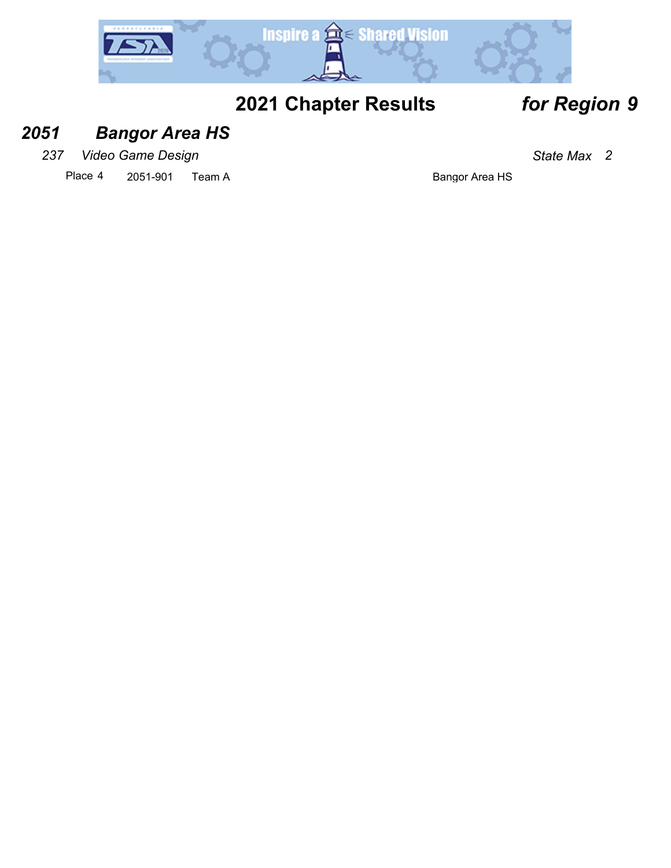

## *2051 Bangor Area HS*

*237 Video Game Design State Max 2*

Place 4 2051-901 Team A Bangor Area HS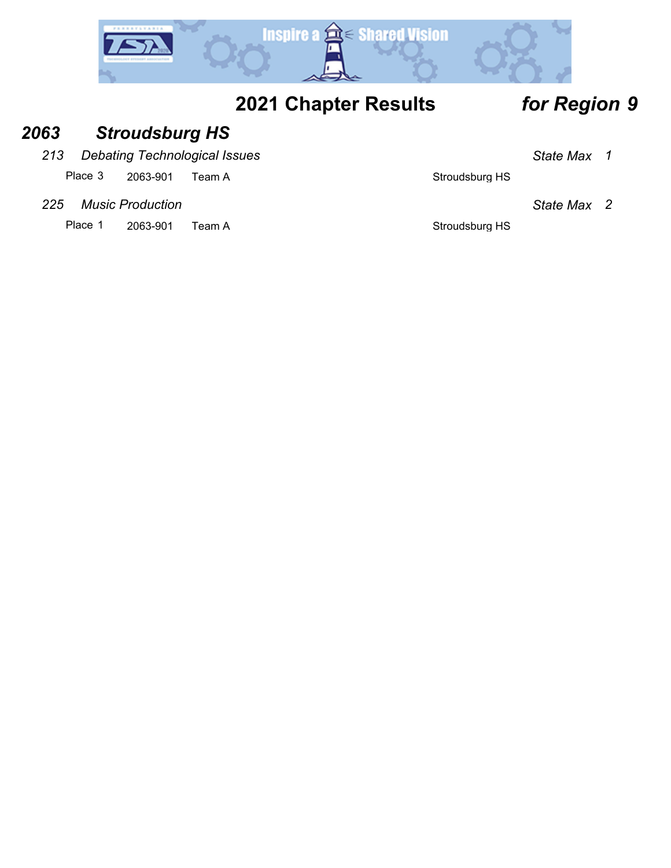

## *2063 Stroudsburg HS*

*213 Debating Technological Issues State Max 1*

Place 3 2063-901 Team A Stroudsburg HS

*225 Music Production State Max 2*

Place 1 2063-901 Team A Stroudsburg HS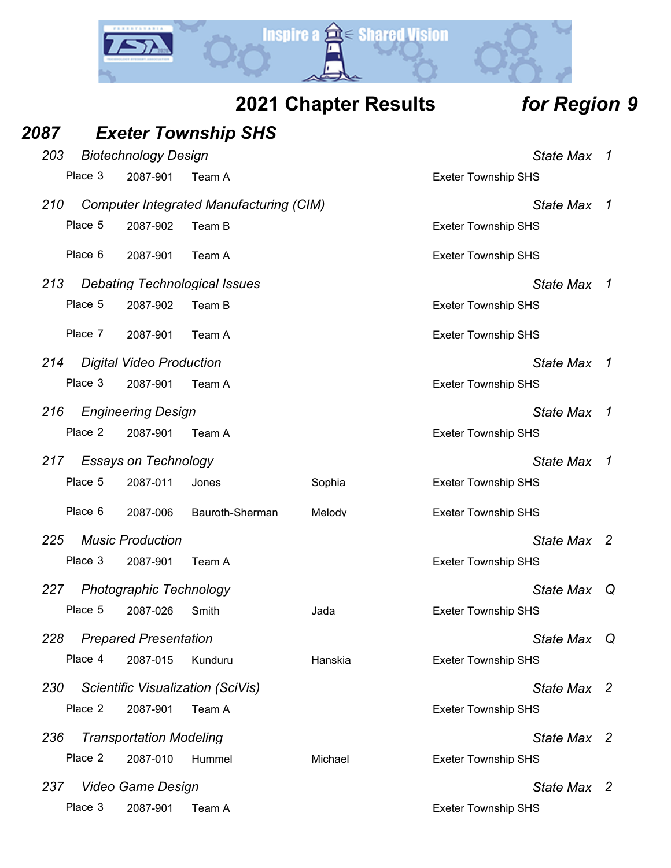

| 87  |         |                                 | <b>Exeter Township SHS</b>                     |        |                            |                  |                |
|-----|---------|---------------------------------|------------------------------------------------|--------|----------------------------|------------------|----------------|
| 203 |         | <b>Biotechnology Design</b>     |                                                |        |                            | State Max        | $\overline{1}$ |
|     | Place 3 | 2087-901                        | Team A                                         |        | <b>Exeter Township SHS</b> |                  |                |
| 210 |         |                                 | <b>Computer Integrated Manufacturing (CIM)</b> |        |                            | <b>State Max</b> | $\overline{1}$ |
|     | Place 5 | 2087-902                        | Team B                                         |        | <b>Exeter Township SHS</b> |                  |                |
|     | Place 6 | 2087-901                        | Team A                                         |        | <b>Exeter Township SHS</b> |                  |                |
| 213 |         |                                 | <b>Debating Technological Issues</b>           |        |                            | State Max 1      |                |
|     | Place 5 | 2087-902                        | Team B                                         |        | <b>Exeter Township SHS</b> |                  |                |
|     | Place 7 | 2087-901                        | Team A                                         |        | <b>Exeter Township SHS</b> |                  |                |
| 214 |         | <b>Digital Video Production</b> |                                                |        |                            | <b>State Max</b> | $\overline{1}$ |
|     | Place 3 | 2087-901                        | Team A                                         |        | <b>Exeter Township SHS</b> |                  |                |
| 216 |         | <b>Engineering Design</b>       |                                                |        |                            | <b>State Max</b> | $\overline{1}$ |
|     | Place 2 | 2087-901                        | Team A                                         |        | <b>Exeter Township SHS</b> |                  |                |
| 217 |         | <b>Essays on Technology</b>     |                                                |        |                            | <b>State Max</b> | $\overline{1}$ |
|     | Place 5 | 2087-011                        | Jones                                          | Sophia | <b>Exeter Township SHS</b> |                  |                |
|     | Place 6 | 2087-006                        | Bauroth-Sherman                                | Melody | <b>Exeter Township SHS</b> |                  |                |
| 225 |         | <b>Music Production</b>         |                                                |        |                            | State Max 2      |                |
|     | Place 3 | 2087-901                        | Team A                                         |        | <b>Exeter Township SHS</b> |                  |                |
| 227 |         | <b>Photographic Technology</b>  |                                                |        |                            | <b>State Max</b> | Q              |
|     | Place 5 | 2087-026                        | Smith                                          | Jada   | <b>Exeter Township SHS</b> |                  |                |

*228 Prepared Presentation State Max Q* Place 4 2087-015 Kunduru Hanskia Exeter Township SHS

*2087 Exeter Township SHS*

- *230 Scientific Visualization (SciVis) State Max 2* Place 2 2087-901 Team A Exeter Township SHS
- *236 Transportation Modeling State Max 2* Place 2 2087-010 Hummel Michael Michael Exeter Township SHS
- *237 Video Game Design State Max 2* Place 3 2087-901 Team A Exeter Township SHS
	-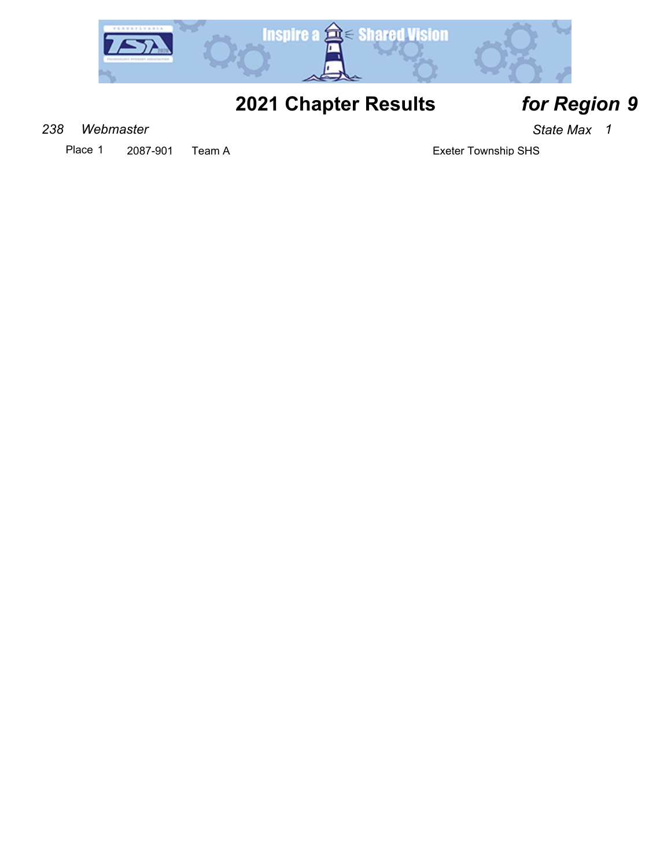

## *238 Webmaster State Max 1*

Place 1 2087-901 Team A Exeter Township SHS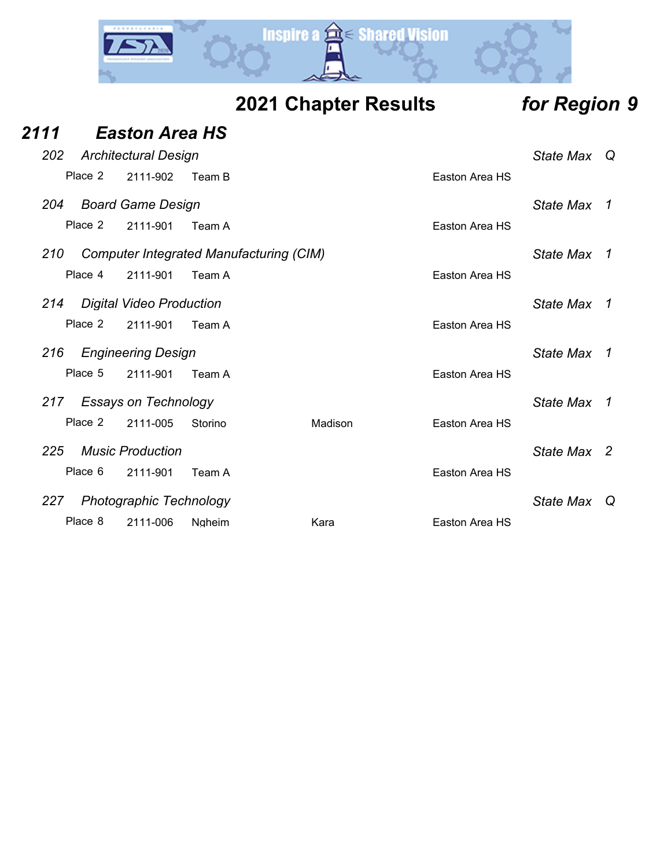

|  | <b>2021 Chapter Results</b> |  |
|--|-----------------------------|--|
|--|-----------------------------|--|

# *Region* **9**

| 2111 |         | <b>Easton Area HS</b>           |               |                                                |                |                  |     |
|------|---------|---------------------------------|---------------|------------------------------------------------|----------------|------------------|-----|
| 202  |         | <b>Architectural Design</b>     |               |                                                |                | <b>State Max</b> | - Q |
|      | Place 2 | 2111-902                        | Team B        |                                                | Easton Area HS |                  |     |
| 204  |         | <b>Board Game Design</b>        |               |                                                |                | <b>State Max</b> | 1   |
|      | Place 2 | 2111-901                        | Team A        |                                                | Easton Area HS |                  |     |
| 210  |         |                                 |               | <b>Computer Integrated Manufacturing (CIM)</b> |                | <b>State Max</b> | 1   |
|      | Place 4 | 2111-901                        | Team A        |                                                | Easton Area HS |                  |     |
| 214  |         | <b>Digital Video Production</b> |               |                                                |                | <b>State Max</b> | 1   |
|      | Place 2 | 2111-901                        | Team A        |                                                | Easton Area HS |                  |     |
| 216  |         | <b>Engineering Design</b>       |               |                                                |                | <b>State Max</b> | 1   |
|      | Place 5 | 2111-901                        | Team A        |                                                | Easton Area HS |                  |     |
| 217  |         | <b>Essays on Technology</b>     |               |                                                |                | <b>State Max</b> | 1   |
|      | Place 2 | 2111-005                        | Storino       | Madison                                        | Easton Area HS |                  |     |
| 225  |         | <b>Music Production</b>         |               |                                                |                | State Max 2      |     |
|      | Place 6 | 2111-901                        | Team A        |                                                | Easton Area HS |                  |     |
| 227  |         | <b>Photographic Technology</b>  |               |                                                |                | <b>State Max</b> | Q   |
|      | Place 8 | 2111-006                        | <b>Ngheim</b> | Kara                                           | Easton Area HS |                  |     |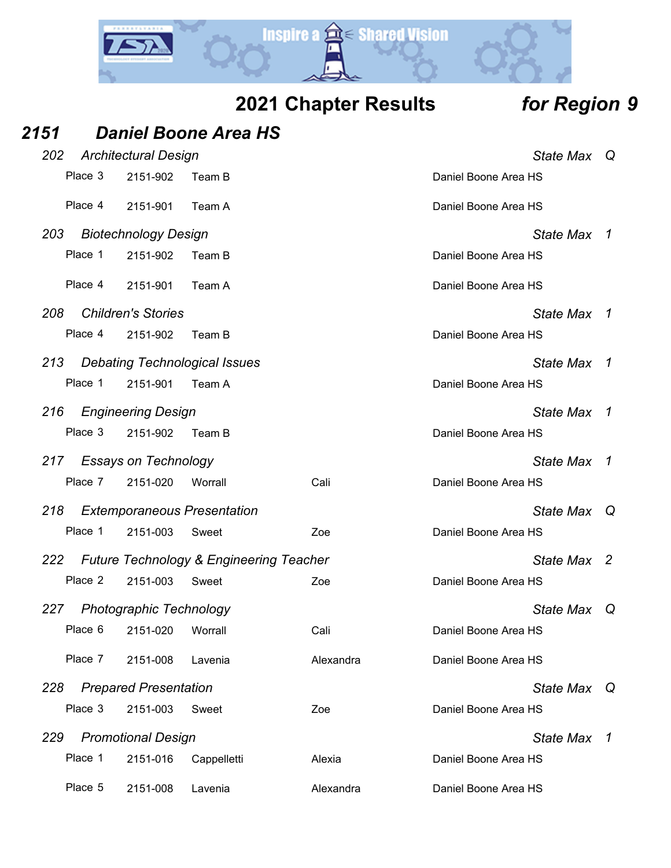

| 2151 |         |                                | <b>Daniel Boone Area HS</b>                        |           |                      |                |  |
|------|---------|--------------------------------|----------------------------------------------------|-----------|----------------------|----------------|--|
| 202  |         | <b>Architectural Design</b>    |                                                    |           | State Max            | $\Omega$       |  |
|      | Place 3 | 2151-902                       | Team B                                             |           | Daniel Boone Area HS |                |  |
|      | Place 4 | 2151-901                       | Team A                                             |           | Daniel Boone Area HS |                |  |
| 203  |         | <b>Biotechnology Design</b>    |                                                    |           | <b>State Max</b>     | $\overline{1}$ |  |
|      | Place 1 | 2151-902                       | Team B                                             |           | Daniel Boone Area HS |                |  |
|      | Place 4 | 2151-901                       | Team A                                             |           | Daniel Boone Area HS |                |  |
| 208  |         | <b>Children's Stories</b>      |                                                    |           | <b>State Max</b>     | -1             |  |
|      | Place 4 | 2151-902                       | Team B                                             |           | Daniel Boone Area HS |                |  |
| 213  |         |                                | <b>Debating Technological Issues</b>               |           | <b>State Max</b>     | - 7            |  |
|      | Place 1 | 2151-901                       | Team A                                             |           | Daniel Boone Area HS |                |  |
| 216  |         | <b>Engineering Design</b>      |                                                    |           | <b>State Max</b>     | $\mathcal I$   |  |
|      | Place 3 | 2151-902                       | Team B                                             |           | Daniel Boone Area HS |                |  |
| 217  |         | <b>Essays on Technology</b>    |                                                    |           | <b>State Max</b>     | $\overline{1}$ |  |
|      | Place 7 | 2151-020                       | Worrall                                            | Cali      | Daniel Boone Area HS |                |  |
| 218  |         |                                | <b>Extemporaneous Presentation</b>                 |           | State Max            | $\omega$       |  |
|      | Place 1 | 2151-003                       | Sweet                                              | Zoe       | Daniel Boone Area HS |                |  |
| 222  |         |                                | <b>Future Technology &amp; Engineering Teacher</b> |           |                      | State Max 2    |  |
|      | Place 2 | 2151-003                       | Sweet                                              | Zoe       | Daniel Boone Area HS |                |  |
| 227  |         | <b>Photographic Technology</b> |                                                    |           | <b>State Max</b>     | Q              |  |
|      | Place 6 | 2151-020                       | Worrall                                            | Cali      | Daniel Boone Area HS |                |  |
|      | Place 7 | 2151-008                       | Lavenia                                            | Alexandra | Daniel Boone Area HS |                |  |
| 228  |         | <b>Prepared Presentation</b>   |                                                    |           | State Max            | Q              |  |
|      | Place 3 | 2151-003                       | Sweet                                              | Zoe       | Daniel Boone Area HS |                |  |
| 229  |         | <b>Promotional Design</b>      |                                                    |           | <b>State Max</b>     | $\overline{1}$ |  |
|      | Place 1 | 2151-016                       | Cappelletti                                        | Alexia    | Daniel Boone Area HS |                |  |
|      | Place 5 | 2151-008                       | Lavenia                                            | Alexandra | Daniel Boone Area HS |                |  |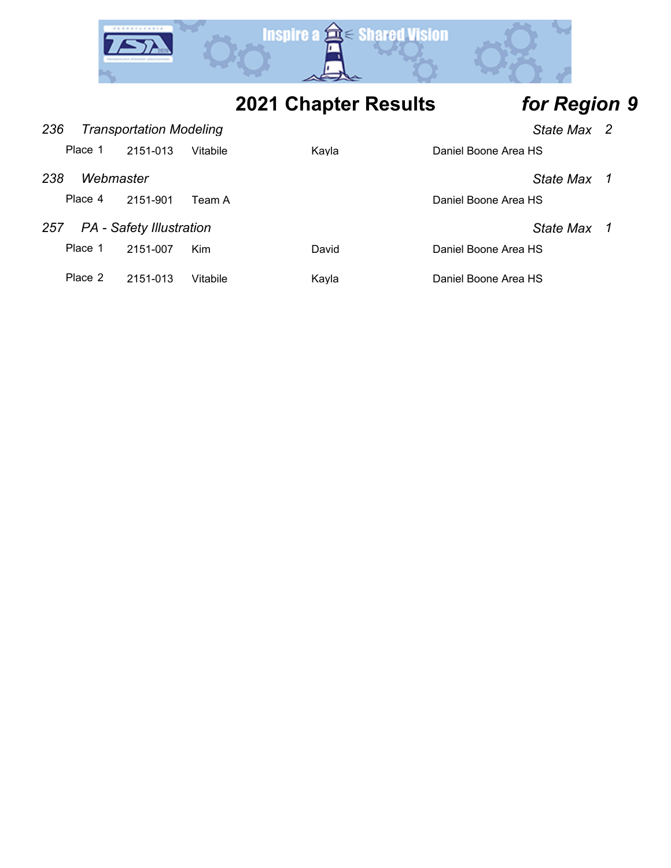

| 236 |           | <b>Transportation Modeling</b>  |          |       |                      |                  |  |
|-----|-----------|---------------------------------|----------|-------|----------------------|------------------|--|
|     | Place 1   | 2151-013                        | Vitabile | Kayla | Daniel Boone Area HS |                  |  |
| 238 | Webmaster |                                 |          |       |                      | State Max        |  |
|     | Place 4   | 2151-901                        | Team A   |       | Daniel Boone Area HS |                  |  |
| 257 |           | <b>PA</b> - Safety Illustration |          |       |                      | <b>State Max</b> |  |
|     | Place 1   | 2151-007                        | Kim      | David | Daniel Boone Area HS |                  |  |
|     | Place 2   | 2151-013                        | Vitabile | Kayla | Daniel Boone Area HS |                  |  |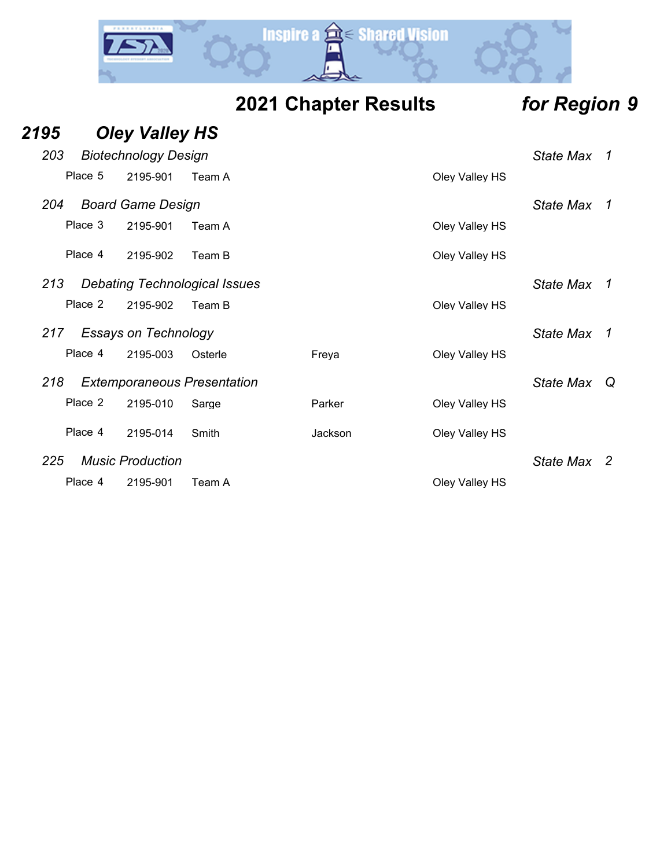

|      |         |                                      |         | <b>2021 Chapter Results</b> |         |  | for Region 9   |                  |    |
|------|---------|--------------------------------------|---------|-----------------------------|---------|--|----------------|------------------|----|
| 2195 |         | <b>Oley Valley HS</b>                |         |                             |         |  |                |                  |    |
| 203  |         | <b>Biotechnology Design</b>          |         |                             |         |  |                | <b>State Max</b> | 1  |
|      | Place 5 | 2195-901                             | Team A  |                             |         |  | Oley Valley HS |                  |    |
| 204  |         | <b>Board Game Design</b>             |         |                             |         |  |                | <b>State Max</b> | 1  |
|      | Place 3 | 2195-901                             | Team A  |                             |         |  | Oley Valley HS |                  |    |
|      | Place 4 | 2195-902                             | Team B  |                             |         |  | Oley Valley HS |                  |    |
| 213  |         | <b>Debating Technological Issues</b> |         |                             |         |  |                | <b>State Max</b> | 1  |
|      | Place 2 | 2195-902                             | Team B  |                             |         |  | Oley Valley HS |                  |    |
| 217  |         | <b>Essays on Technology</b>          |         |                             |         |  |                | <b>State Max</b> | 1  |
|      | Place 4 | 2195-003                             | Osterle |                             | Freya   |  | Oley Valley HS |                  |    |
| 218  |         | <b>Extemporaneous Presentation</b>   |         |                             |         |  |                | <b>State Max</b> | Q  |
|      | Place 2 | 2195-010                             | Sarge   |                             | Parker  |  | Oley Valley HS |                  |    |
|      | Place 4 | 2195-014                             | Smith   |                             | Jackson |  | Oley Valley HS |                  |    |
| 225  |         | <b>Music Production</b>              |         |                             |         |  |                | <b>State Max</b> | -2 |

Place 4 2195-901 Team A Cley Valley HS